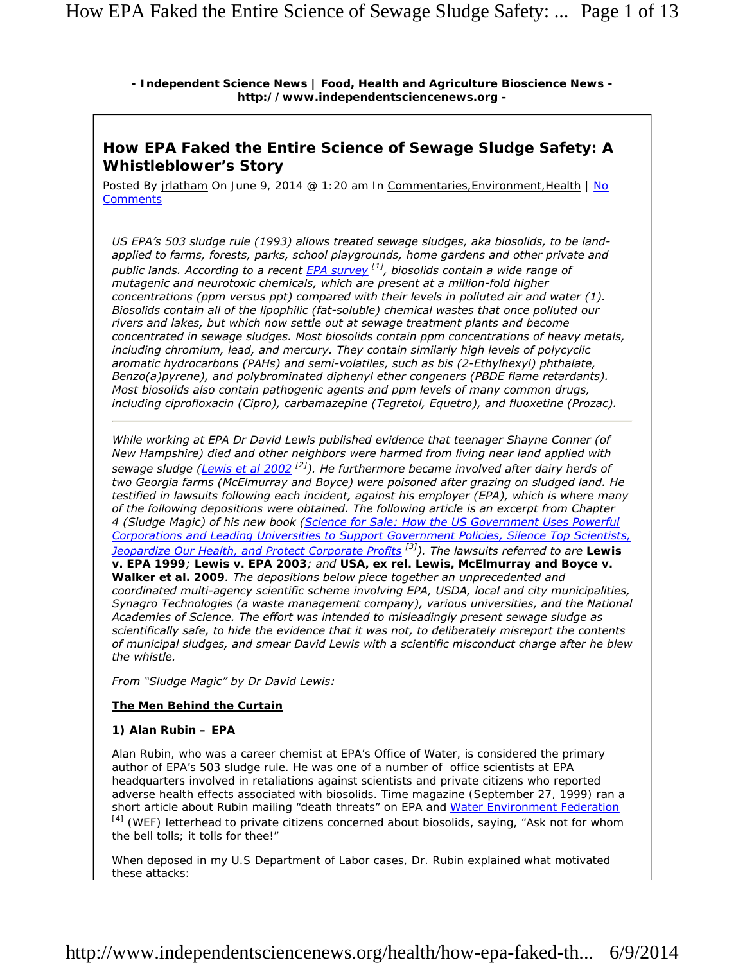**- Independent Science News | Food, Health and Agriculture Bioscience News http://www.independentsciencenews.org -**

## **How EPA Faked the Entire Science of Sewage Sludge Safety: A Whistleblower's Story**

Posted By jrlatham On June 9, 2014 @ 1:20 am In Commentaries, Environment, Health | No **Comments** 

*US EPA's 503 sludge rule (1993) allows treated sewage sludges, aka biosolids, to be landapplied to farms, forests, parks, school playgrounds, home gardens and other private and public lands. According to a recent EPA survey [1], biosolids contain a wide range of mutagenic and neurotoxic chemicals, which are present at a million-fold higher concentrations (ppm versus ppt) compared with their levels in polluted air and water (1). Biosolids contain all of the lipophilic (fat-soluble) chemical wastes that once polluted our rivers and lakes, but which now settle out at sewage treatment plants and become concentrated in sewage sludges. Most biosolids contain ppm concentrations of heavy metals, including chromium, lead, and mercury. They contain similarly high levels of polycyclic aromatic hydrocarbons (PAHs) and semi-volatiles, such as bis (2-Ethylhexyl) phthalate, Benzo(a)pyrene), and polybrominated diphenyl ether congeners (PBDE flame retardants). Most biosolids also contain pathogenic agents and ppm levels of many common drugs, including ciprofloxacin (Cipro), carbamazepine (Tegretol, Equetro), and fluoxetine (Prozac).*

*While working at EPA Dr David Lewis published evidence that teenager Shayne Conner (of New Hampshire) died and other neighbors were harmed from living near land applied with sewage sludge (Lewis et al 2002 [2]). He furthermore became involved after dairy herds of two Georgia farms (McElmurray and Boyce) were poisoned after grazing on sludged land. He testified in lawsuits following each incident, against his employer (EPA), which is where many of the following depositions were obtained. The following article is an excerpt from Chapter 4 (Sludge Magic) of his new book (Science for Sale: How the US Government Uses Powerful Corporations and Leading Universities to Support Government Policies, Silence Top Scientists, Jeopardize Our Health, and Protect Corporate Profits [3]). The lawsuits referred to are Lewis v. EPA 1999; Lewis v. EPA 2003; and USA, ex rel. Lewis, McElmurray and Boyce v. Walker et al. 2009. The depositions below piece together an unprecedented and coordinated multi-agency scientific scheme involving EPA, USDA, local and city municipalities, Synagro Technologies (a waste management company), various universities, and the National Academies of Science. The effort was intended to misleadingly present sewage sludge as scientifically safe, to hide the evidence that it was not, to deliberately misreport the contents of municipal sludges, and smear David Lewis with a scientific misconduct charge after he blew the whistle.*

*From "Sludge Magic" by Dr David Lewis:* 

#### **The Men Behind the Curtain**

#### **1) Alan Rubin – EPA**

Alan Rubin, who was a career chemist at EPA's Office of Water, is considered the primary author of EPA's 503 sludge rule. He was one of a number of office scientists at EPA headquarters involved in retaliations against scientists and private citizens who reported adverse health effects associated with biosolids. Time magazine (September 27, 1999) ran a short article about Rubin mailing "death threats" on EPA and Water Environment Federation [4] (WEF) letterhead to private citizens concerned about biosolids, saying, "Ask not for whom the bell tolls; it tolls for thee!"

When deposed in my U.S Department of Labor cases, Dr. Rubin explained what motivated these attacks: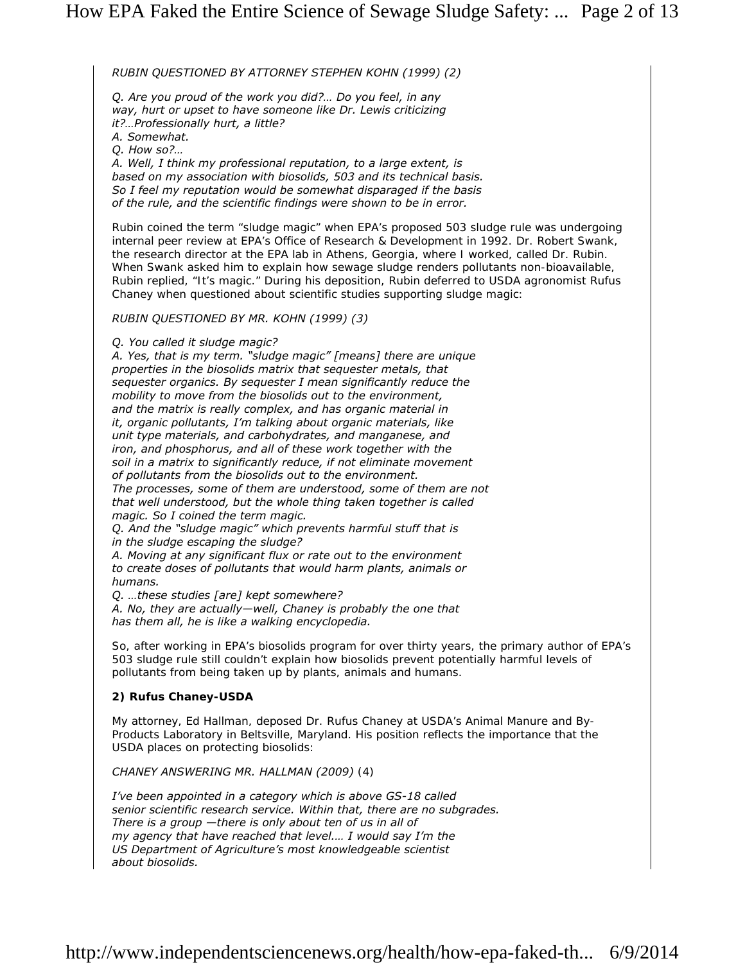*RUBIN QUESTIONED BY ATTORNEY STEPHEN KOHN (1999) (2)*

*Q. Are you proud of the work you did?… Do you feel, in any way, hurt or upset to have someone like Dr. Lewis criticizing it?…Professionally hurt, a little? A. Somewhat.* 

*Q. How so?…* 

*A. Well, I think my professional reputation, to a large extent, is based on my association with biosolids, 503 and its technical basis. So I feel my reputation would be somewhat disparaged if the basis of the rule, and the scientific findings were shown to be in error.*

Rubin coined the term "sludge magic" when EPA's proposed 503 sludge rule was undergoing internal peer review at EPA's Office of Research & Development in 1992. Dr. Robert Swank, the research director at the EPA lab in Athens, Georgia, where I worked, called Dr. Rubin. When Swank asked him to explain how sewage sludge renders pollutants non-bioavailable, Rubin replied, "It's magic." During his deposition, Rubin deferred to USDA agronomist Rufus Chaney when questioned about scientific studies supporting sludge magic:

*RUBIN QUESTIONED BY MR. KOHN (1999) (3)* 

*Q. You called it sludge magic?* 

*A. Yes, that is my term. "sludge magic" [means] there are unique properties in the biosolids matrix that sequester metals, that sequester organics. By sequester I mean significantly reduce the mobility to move from the biosolids out to the environment, and the matrix is really complex, and has organic material in it, organic pollutants, I'm talking about organic materials, like unit type materials, and carbohydrates, and manganese, and iron, and phosphorus, and all of these work together with the soil in a matrix to significantly reduce, if not eliminate movement of pollutants from the biosolids out to the environment. The processes, some of them are understood, some of them are not that well understood, but the whole thing taken together is called magic. So I coined the term magic. Q. And the "sludge magic" which prevents harmful stuff that is* 

*in the sludge escaping the sludge? A. Moving at any significant flux or rate out to the environment to create doses of pollutants that would harm plants, animals or humans.* 

*Q. …these studies [are] kept somewhere?* 

*A. No, they are actually—well, Chaney is probably the one that has them all, he is like a walking encyclopedia.*

So, after working in EPA's biosolids program for over thirty years, the primary author of EPA's 503 sludge rule still couldn't explain how biosolids prevent potentially harmful levels of pollutants from being taken up by plants, animals and humans.

#### **2) Rufus Chaney-USDA**

My attorney, Ed Hallman, deposed Dr. Rufus Chaney at USDA's Animal Manure and By-Products Laboratory in Beltsville, Maryland. His position reflects the importance that the USDA places on protecting biosolids:

*CHANEY ANSWERING MR. HALLMAN (2009)* (4)

*I've been appointed in a category which is above GS-18 called senior scientific research service. Within that, there are no subgrades. There is a group —there is only about ten of us in all of my agency that have reached that level.… I would say I'm the US Department of Agriculture's most knowledgeable scientist about biosolids.*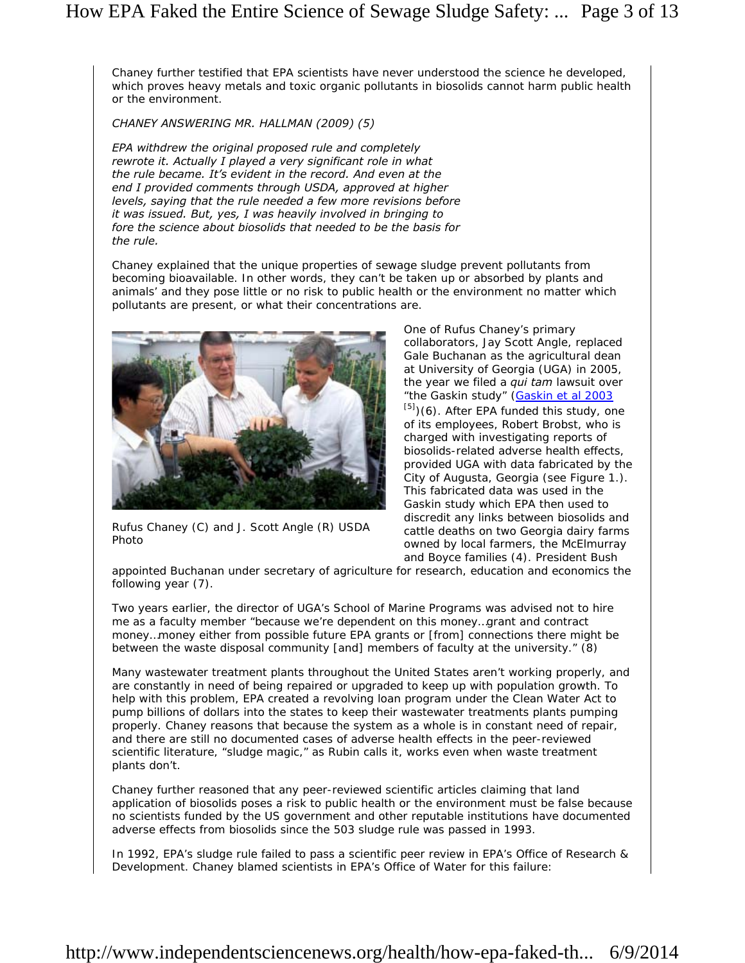Chaney further testified that EPA scientists have never understood the science he developed, which proves heavy metals and toxic organic pollutants in biosolids cannot harm public health or the environment.

*CHANEY ANSWERING MR. HALLMAN (2009) (5)* 

*EPA withdrew the original proposed rule and completely rewrote it. Actually I played a very significant role in what the rule became. It's evident in the record. And even at the end I provided comments through USDA, approved at higher levels, saying that the rule needed a few more revisions before it was issued. But, yes, I was heavily involved in bringing to fore the science about biosolids that needed to be the basis for the rule.*

Chaney explained that the unique properties of sewage sludge prevent pollutants from becoming bioavailable. In other words, they can't be taken up or absorbed by plants and animals' and they pose little or no risk to public health or the environment no matter which pollutants are present, or what their concentrations are.



Rufus Chaney (C) and J. Scott Angle (R) USDA Photo

One of Rufus Chaney's primary collaborators, Jay Scott Angle, replaced Gale Buchanan as the agricultural dean at University of Georgia (UGA) in 2005, the year we filed a *qui tam* lawsuit over "the Gaskin study" (Gaskin et al 2003 [5])(6). After EPA funded this study, one of its employees, Robert Brobst, who is charged with investigating reports of biosolids-related adverse health effects, provided UGA with data fabricated by the City of Augusta, Georgia (see Figure 1.). This fabricated data was used in the Gaskin study which EPA then used to discredit any links between biosolids and cattle deaths on two Georgia dairy farms owned by local farmers, the McElmurray and Boyce families (4). President Bush

appointed Buchanan under secretary of agriculture for research, education and economics the following year (7).

Two years earlier, the director of UGA's School of Marine Programs was advised not to hire me as a faculty member "because we're dependent on this money…grant and contract money…money either from possible future EPA grants or [from] connections there might be between the waste disposal community [and] members of faculty at the university." (8)

Many wastewater treatment plants throughout the United States aren't working properly, and are constantly in need of being repaired or upgraded to keep up with population growth. To help with this problem, EPA created a revolving loan program under the Clean Water Act to pump billions of dollars into the states to keep their wastewater treatments plants pumping properly. Chaney reasons that because the system as a whole is in constant need of repair, and there are still no documented cases of adverse health effects in the peer-reviewed scientific literature, "sludge magic," as Rubin calls it, works even when waste treatment plants don't.

Chaney further reasoned that any peer-reviewed scientific articles claiming that land application of biosolids poses a risk to public health or the environment must be false because no scientists funded by the US government and other reputable institutions have documented adverse effects from biosolids since the 503 sludge rule was passed in 1993.

In 1992, EPA's sludge rule failed to pass a scientific peer review in EPA's Office of Research & Development. Chaney blamed scientists in EPA's Office of Water for this failure: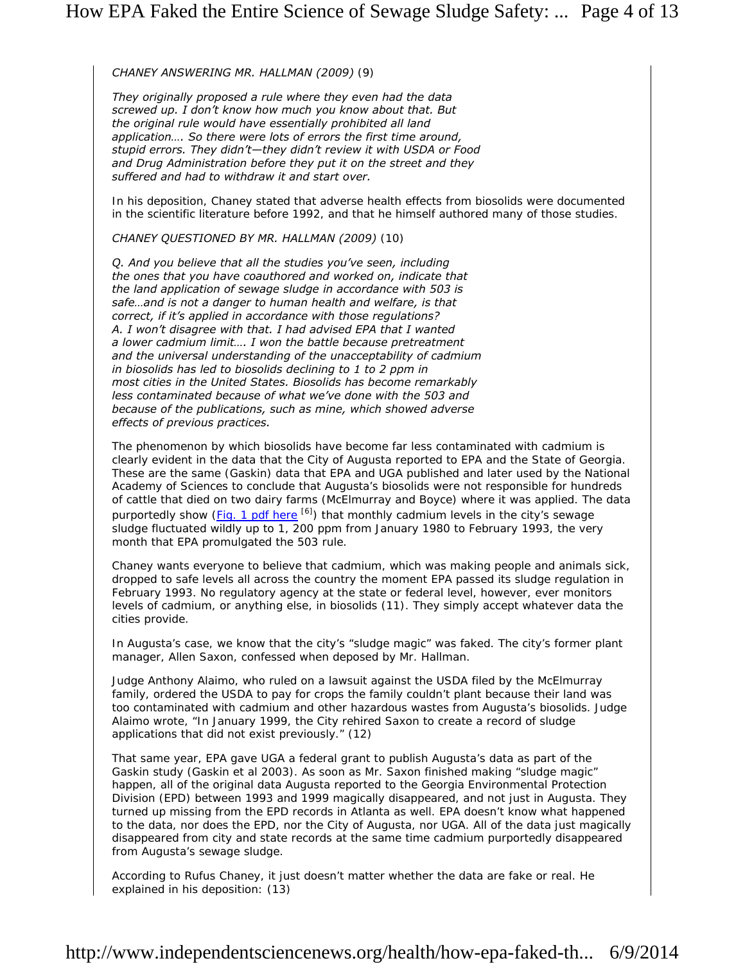*CHANEY ANSWERING MR. HALLMAN (2009)* (9)

*They originally proposed a rule where they even had the data screwed up. I don't know how much you know about that. But the original rule would have essentially prohibited all land application…. So there were lots of errors the first time around, stupid errors. They didn't—they didn't review it with USDA or Food and Drug Administration before they put it on the street and they suffered and had to withdraw it and start over.*

In his deposition, Chaney stated that adverse health effects from biosolids were documented in the scientific literature before 1992, and that he himself authored many of those studies.

*CHANEY QUESTIONED BY MR. HALLMAN (2009)* (10)

*Q. And you believe that all the studies you've seen, including the ones that you have coauthored and worked on, indicate that the land application of sewage sludge in accordance with 503 is safe…and is not a danger to human health and welfare, is that correct, if it's applied in accordance with those regulations? A. I won't disagree with that. I had advised EPA that I wanted a lower cadmium limit…. I won the battle because pretreatment and the universal understanding of the unacceptability of cadmium in biosolids has led to biosolids declining to 1 to 2 ppm in most cities in the United States. Biosolids has become remarkably less contaminated because of what we've done with the 503 and because of the publications, such as mine, which showed adverse effects of previous practices.*

The phenomenon by which biosolids have become far less contaminated with cadmium is clearly evident in the data that the City of Augusta reported to EPA and the State of Georgia. These are the same (Gaskin) data that EPA and UGA published and later used by the National Academy of Sciences to conclude that Augusta's biosolids were not responsible for hundreds of cattle that died on two dairy farms (McElmurray and Boyce) where it was applied. The data purportedly show (Fig. 1 pdf here <sup>[6]</sup>) that monthly cadmium levels in the city's sewage sludge fluctuated wildly up to 1, 200 ppm from January 1980 to February 1993, the very month that EPA promulgated the 503 rule.

Chaney wants everyone to believe that cadmium, which was making people and animals sick, dropped to safe levels all across the country the moment EPA passed its sludge regulation in February 1993. No regulatory agency at the state or federal level, however, ever monitors levels of cadmium, or anything else, in biosolids (11). They simply accept whatever data the cities provide.

In Augusta's case, we know that the city's "sludge magic" was faked. The city's former plant manager, Allen Saxon, confessed when deposed by Mr. Hallman.

Judge Anthony Alaimo, who ruled on a lawsuit against the USDA filed by the McElmurray family, ordered the USDA to pay for crops the family couldn't plant because their land was too contaminated with cadmium and other hazardous wastes from Augusta's biosolids. Judge Alaimo wrote, "In January 1999, the City rehired Saxon to create a record of sludge applications that did not exist previously." (12)

That same year, EPA gave UGA a federal grant to publish Augusta's data as part of the Gaskin study (Gaskin et al 2003). As soon as Mr. Saxon finished making "sludge magic" happen, all of the original data Augusta reported to the Georgia Environmental Protection Division (EPD) between 1993 and 1999 magically disappeared, and not just in Augusta. They turned up missing from the EPD records in Atlanta as well. EPA doesn't know what happened to the data, nor does the EPD, nor the City of Augusta, nor UGA. All of the data just magically disappeared from city and state records at the same time cadmium purportedly disappeared from Augusta's sewage sludge.

According to Rufus Chaney, it just doesn't matter whether the data are fake or real. He explained in his deposition: (13)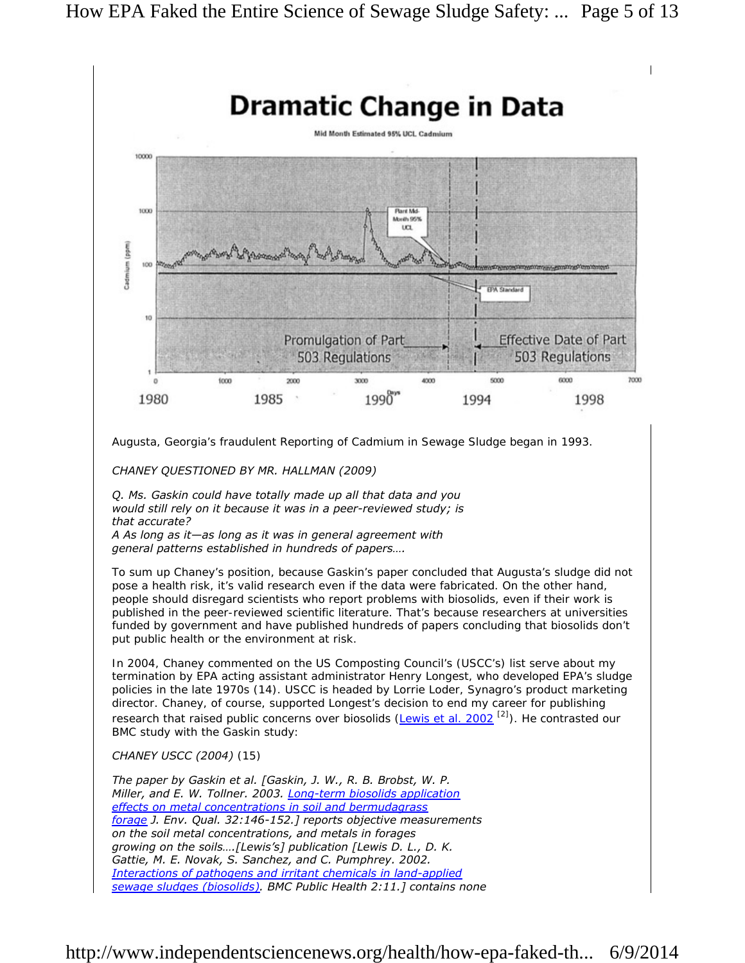

Augusta, Georgia's fraudulent Reporting of Cadmium in Sewage Sludge began in 1993.

*CHANEY QUESTIONED BY MR. HALLMAN (2009)*

*Q. Ms. Gaskin could have totally made up all that data and you would still rely on it because it was in a peer-reviewed study; is that accurate?* 

*A As long as it—as long as it was in general agreement with general patterns established in hundreds of papers….*

To sum up Chaney's position, because Gaskin's paper concluded that Augusta's sludge did not pose a health risk, it's valid research even if the data were fabricated. On the other hand, people should disregard scientists who report problems with biosolids, even if their work is published in the peer-reviewed scientific literature. That's because researchers at universities funded by government and have published hundreds of papers concluding that biosolids don't put public health or the environment at risk.

In 2004, Chaney commented on the US Composting Council's (USCC's) list serve about my termination by EPA acting assistant administrator Henry Longest, who developed EPA's sludge policies in the late 1970s (14). USCC is headed by Lorrie Loder, Synagro's product marketing director. Chaney, of course, supported Longest's decision to end my career for publishing research that raised public concerns over biosolids (Lewis et al. 2002<sup>[2]</sup>). He contrasted our BMC study with the Gaskin study:

### *CHANEY USCC (2004)* (15)

*The paper by Gaskin et al. [Gaskin, J. W., R. B. Brobst, W. P. Miller, and E. W. Tollner. 2003. Long-term biosolids application effects on metal concentrations in soil and bermudagrass forage J. Env. Qual. 32:146-152.] reports objective measurements on the soil metal concentrations, and metals in forages growing on the soils….[Lewis's] publication [Lewis D. L., D. K. Gattie, M. E. Novak, S. Sanchez, and C. Pumphrey. 2002. Interactions of pathogens and irritant chemicals in land-applied sewage sludges (biosolids). BMC Public Health 2:11.] contains none*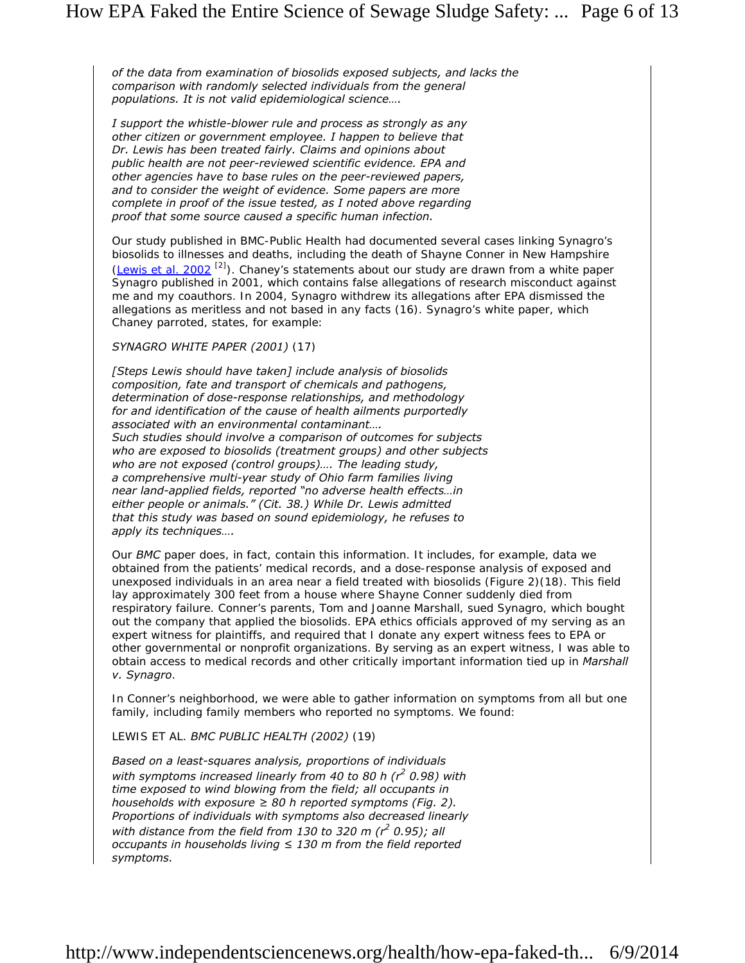*of the data from examination of biosolids exposed subjects, and lacks the comparison with randomly selected individuals from the general populations. It is not valid epidemiological science….*

*I support the whistle-blower rule and process as strongly as any other citizen or government employee. I happen to believe that Dr. Lewis has been treated fairly. Claims and opinions about public health are not peer-reviewed scientific evidence. EPA and other agencies have to base rules on the peer-reviewed papers, and to consider the weight of evidence. Some papers are more complete in proof of the issue tested, as I noted above regarding proof that some source caused a specific human infection.*

Our study published in BMC-Public Health had documented several cases linking Synagro's biosolids to illnesses and deaths, including the death of Shayne Conner in New Hampshire (Lewis et al. 2002 [2]). Chaney's statements about our study are drawn from a white paper Synagro published in 2001, which contains false allegations of research misconduct against me and my coauthors. In 2004, Synagro withdrew its allegations after EPA dismissed the allegations as meritless and not based in any facts (16). Synagro's white paper, which Chaney parroted, states, for example:

#### *SYNAGRO WHITE PAPER (2001)* (17)

*[Steps Lewis should have taken] include analysis of biosolids composition, fate and transport of chemicals and pathogens, determination of dose-response relationships, and methodology for and identification of the cause of health ailments purportedly associated with an environmental contaminant…. Such studies should involve a comparison of outcomes for subjects who are exposed to biosolids (treatment groups) and other subjects who are not exposed (control groups)…. The leading study, a comprehensive multi-year study of Ohio farm families living near land-applied fields, reported "no adverse health effects…in either people or animals." (Cit. 38.) While Dr. Lewis admitted that this study was based on sound epidemiology, he refuses to apply its techniques….*

Our *BMC* paper does, in fact, contain this information. It includes, for example, data we obtained from the patients' medical records, and a dose-response analysis of exposed and unexposed individuals in an area near a field treated with biosolids (Figure 2)(18). This field lay approximately 300 feet from a house where Shayne Conner suddenly died from respiratory failure. Conner's parents, Tom and Joanne Marshall, sued Synagro, which bought out the company that applied the biosolids. EPA ethics officials approved of my serving as an expert witness for plaintiffs, and required that I donate any expert witness fees to EPA or other governmental or nonprofit organizations. By serving as an expert witness, I was able to obtain access to medical records and other critically important information tied up in *Marshall v. Synagro*.

In Conner's neighborhood, we were able to gather information on symptoms from all but one family, including family members who reported no symptoms. We found:

LEWIS ET AL. *BMC PUBLIC HEALTH (2002)* (19)

*Based on a least-squares analysis, proportions of individuals with symptoms increased linearly from 40 to 80 h (r<sup>2</sup> 0.98) with time exposed to wind blowing from the field; all occupants in households with exposure ≥ 80 h reported symptoms (Fig. 2). Proportions of individuals with symptoms also decreased linearly*  with distance from the field from 130 to 320 m ( $r^2$  0.95); all *occupants in households living ≤ 130 m from the field reported symptoms.*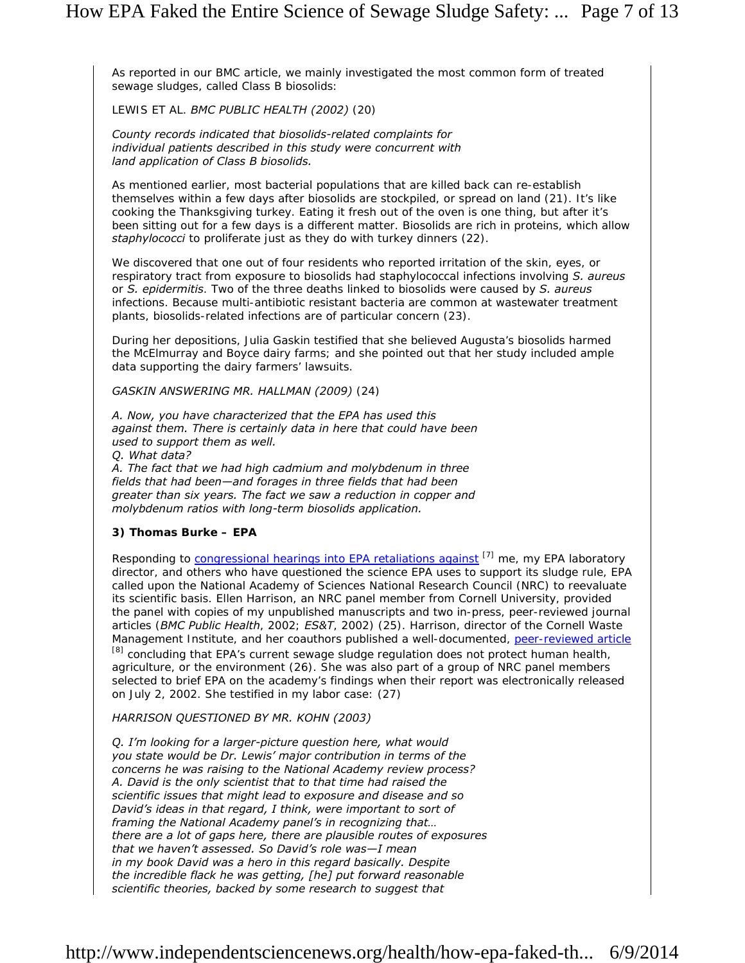As reported in our BMC article, we mainly investigated the most common form of treated sewage sludges, called Class B biosolids:

LEWIS ET AL. *BMC PUBLIC HEALTH (2002)* (20)

*County records indicated that biosolids-related complaints for individual patients described in this study were concurrent with land application of Class B biosolids.*

As mentioned earlier, most bacterial populations that are killed back can re-establish themselves within a few days after biosolids are stockpiled, or spread on land (21). It's like cooking the Thanksgiving turkey. Eating it fresh out of the oven is one thing, but after it's been sitting out for a few days is a different matter. Biosolids are rich in proteins, which allow *staphylococci* to proliferate just as they do with turkey dinners (22).

We discovered that one out of four residents who reported irritation of the skin, eyes, or respiratory tract from exposure to biosolids had staphylococcal infections involving *S. aureus* or *S. epidermitis*. Two of the three deaths linked to biosolids were caused by *S. aureus* infections. Because multi-antibiotic resistant bacteria are common at wastewater treatment plants, biosolids-related infections are of particular concern (23).

During her depositions, Julia Gaskin testified that she believed Augusta's biosolids harmed the McElmurray and Boyce dairy farms; and she pointed out that her study included ample data supporting the dairy farmers' lawsuits.

*GASKIN ANSWERING MR. HALLMAN (2009)* (24)

*A. Now, you have characterized that the EPA has used this against them. There is certainly data in here that could have been used to support them as well. Q. What data? A. The fact that we had high cadmium and molybdenum in three fields that had been—and forages in three fields that had been greater than six years. The fact we saw a reduction in copper and* 

*molybdenum ratios with long-term biosolids application.*

#### **3) Thomas Burke – EPA**

Responding to congressional hearings into EPA retaliations against<sup>[7]</sup> me, my EPA laboratory director, and others who have questioned the science EPA uses to support its sludge rule, EPA called upon the National Academy of Sciences National Research Council (NRC) to reevaluate its scientific basis. Ellen Harrison, an NRC panel member from Cornell University, provided the panel with copies of my unpublished manuscripts and two in-press, peer-reviewed journal articles (*BMC Public Health*, 2002; *ES&T*, 2002) (25). Harrison, director of the Cornell Waste Management Institute, and her coauthors published a well-documented, peer-reviewed article [8] concluding that EPA's current sewage sludge regulation does not protect human health, agriculture, or the environment (26). She was also part of a group of NRC panel members selected to brief EPA on the academy's findings when their report was electronically released on July 2, 2002. She testified in my labor case: (27)

#### *HARRISON QUESTIONED BY MR. KOHN (2003)*

*Q. I'm looking for a larger-picture question here, what would you state would be Dr. Lewis' major contribution in terms of the concerns he was raising to the National Academy review process? A. David is the only scientist that to that time had raised the scientific issues that might lead to exposure and disease and so David's ideas in that regard, I think, were important to sort of framing the National Academy panel's in recognizing that… there are a lot of gaps here, there are plausible routes of exposures that we haven't assessed. So David's role was—I mean in my book David was a hero in this regard basically. Despite the incredible flack he was getting, [he] put forward reasonable scientific theories, backed by some research to suggest that*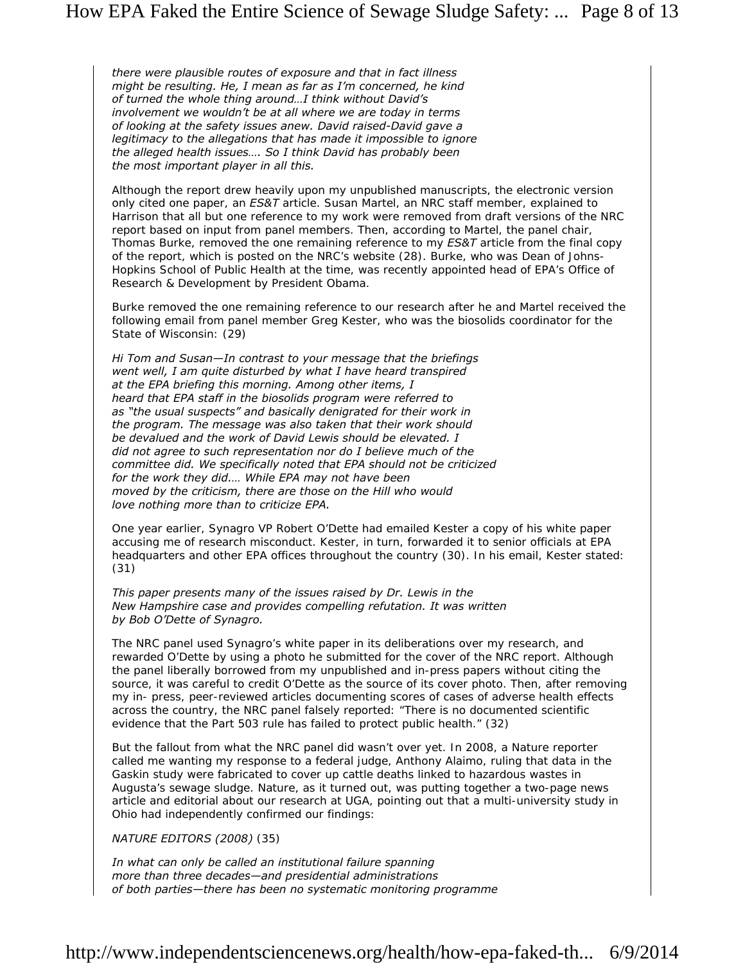*there were plausible routes of exposure and that in fact illness might be resulting. He, I mean as far as I'm concerned, he kind of turned the whole thing around…I think without David's involvement we wouldn't be at all where we are today in terms of looking at the safety issues anew. David raised-David gave a legitimacy to the allegations that has made it impossible to ignore the alleged health issues…. So I think David has probably been the most important player in all this.*

Although the report drew heavily upon my unpublished manuscripts, the electronic version only cited one paper, an *ES&T* article. Susan Martel, an NRC staff member, explained to Harrison that all but one reference to my work were removed from draft versions of the NRC report based on input from panel members. Then, according to Martel, the panel chair, Thomas Burke, removed the one remaining reference to my *ES&T* article from the final copy of the report, which is posted on the NRC's website (28). Burke, who was Dean of Johns-Hopkins School of Public Health at the time, was recently appointed head of EPA's Office of Research & Development by President Obama.

Burke removed the one remaining reference to our research after he and Martel received the following email from panel member Greg Kester, who was the biosolids coordinator for the State of Wisconsin: (29)

*Hi Tom and Susan—In contrast to your message that the briefings went well, I am quite disturbed by what I have heard transpired at the EPA briefing this morning. Among other items, I heard that EPA staff in the biosolids program were referred to as "the usual suspects" and basically denigrated for their work in the program. The message was also taken that their work should be devalued and the work of David Lewis should be elevated. I did not agree to such representation nor do I believe much of the committee did. We specifically noted that EPA should not be criticized for the work they did.… While EPA may not have been moved by the criticism, there are those on the Hill who would love nothing more than to criticize EPA.*

One year earlier, Synagro VP Robert O'Dette had emailed Kester a copy of his white paper accusing me of research misconduct. Kester, in turn, forwarded it to senior officials at EPA headquarters and other EPA offices throughout the country (30). In his email, Kester stated: (31)

*This paper presents many of the issues raised by Dr. Lewis in the New Hampshire case and provides compelling refutation. It was written by Bob O'Dette of Synagro.*

The NRC panel used Synagro's white paper in its deliberations over my research, and rewarded O'Dette by using a photo he submitted for the cover of the NRC report. Although the panel liberally borrowed from my unpublished and in-press papers without citing the source, it was careful to credit O'Dette as the source of its cover photo. Then, after removing my in- press, peer-reviewed articles documenting scores of cases of adverse health effects across the country, the NRC panel falsely reported: "There is no documented scientific evidence that the Part 503 rule has failed to protect public health." (32)

But the fallout from what the NRC panel did wasn't over yet. In 2008, a Nature reporter called me wanting my response to a federal judge, Anthony Alaimo, ruling that data in the Gaskin study were fabricated to cover up cattle deaths linked to hazardous wastes in Augusta's sewage sludge. Nature, as it turned out, was putting together a two-page news article and editorial about our research at UGA, pointing out that a multi-university study in Ohio had independently confirmed our findings:

#### *NATURE EDITORS (2008)* (35)

*In what can only be called an institutional failure spanning more than three decades—and presidential administrations of both parties—there has been no systematic monitoring programme*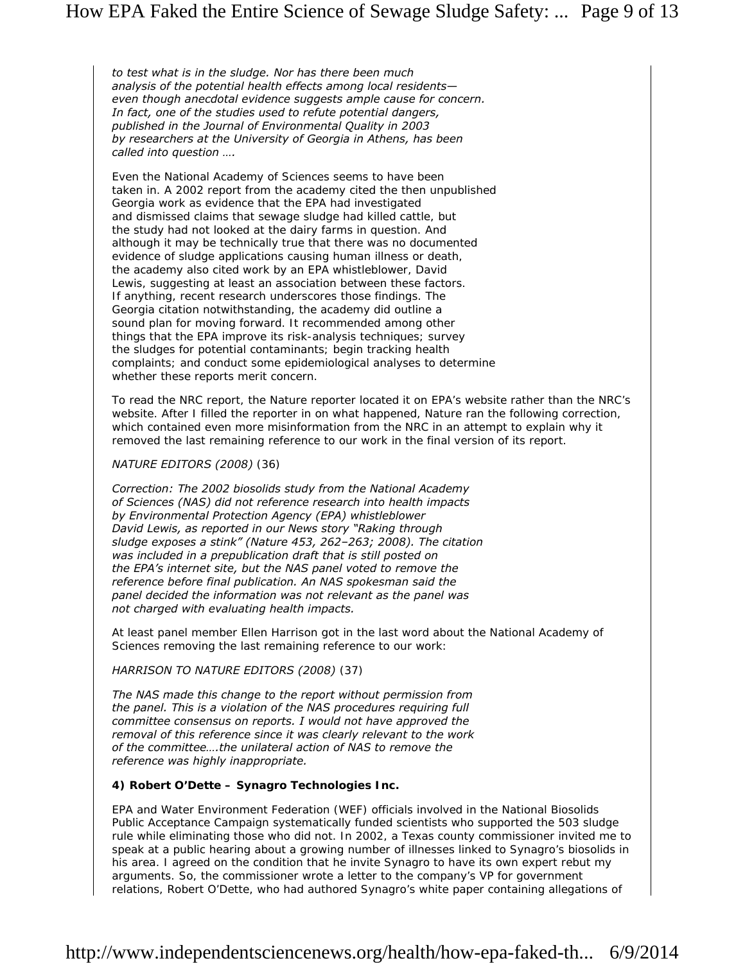*to test what is in the sludge. Nor has there been much analysis of the potential health effects among local residents even though anecdotal evidence suggests ample cause for concern. In fact, one of the studies used to refute potential dangers, published in the Journal of Environmental Quality in 2003 by researchers at the University of Georgia in Athens, has been called into question ….*

Even the National Academy of Sciences seems to have been taken in. A 2002 report from the academy cited the then unpublished Georgia work as evidence that the EPA had investigated and dismissed claims that sewage sludge had killed cattle, but the study had not looked at the dairy farms in question. And although it may be technically true that there was no documented evidence of sludge applications causing human illness or death, the academy also cited work by an EPA whistleblower, David Lewis, suggesting at least an association between these factors. If anything, recent research underscores those findings. The Georgia citation notwithstanding, the academy did outline a sound plan for moving forward. It recommended among other things that the EPA improve its risk-analysis techniques; survey the sludges for potential contaminants; begin tracking health complaints; and conduct some epidemiological analyses to determine whether these reports merit concern.

To read the NRC report, the Nature reporter located it on EPA's website rather than the NRC's website. After I filled the reporter in on what happened, Nature ran the following correction, which contained even more misinformation from the NRC in an attempt to explain why it removed the last remaining reference to our work in the final version of its report.

#### *NATURE EDITORS (2008)* (36)

*Correction: The 2002 biosolids study from the National Academy of Sciences (NAS) did not reference research into health impacts by Environmental Protection Agency (EPA) whistleblower David Lewis, as reported in our News story "Raking through sludge exposes a stink" (Nature 453, 262–263; 2008). The citation was included in a prepublication draft that is still posted on the EPA's internet site, but the NAS panel voted to remove the reference before final publication. An NAS spokesman said the panel decided the information was not relevant as the panel was not charged with evaluating health impacts.*

At least panel member Ellen Harrison got in the last word about the National Academy of Sciences removing the last remaining reference to our work:

#### *HARRISON TO NATURE EDITORS (2008)* (37)

*The NAS made this change to the report without permission from the panel. This is a violation of the NAS procedures requiring full committee consensus on reports. I would not have approved the removal of this reference since it was clearly relevant to the work of the committee….the unilateral action of NAS to remove the reference was highly inappropriate.*

#### **4) Robert O'Dette – Synagro Technologies Inc.**

EPA and Water Environment Federation (WEF) officials involved in the National Biosolids Public Acceptance Campaign systematically funded scientists who supported the 503 sludge rule while eliminating those who did not. In 2002, a Texas county commissioner invited me to speak at a public hearing about a growing number of illnesses linked to Synagro's biosolids in his area. I agreed on the condition that he invite Synagro to have its own expert rebut my arguments. So, the commissioner wrote a letter to the company's VP for government relations, Robert O'Dette, who had authored Synagro's white paper containing allegations of

# http://www.independentsciencenews.org/health/how-epa-faked-th... 6/9/2014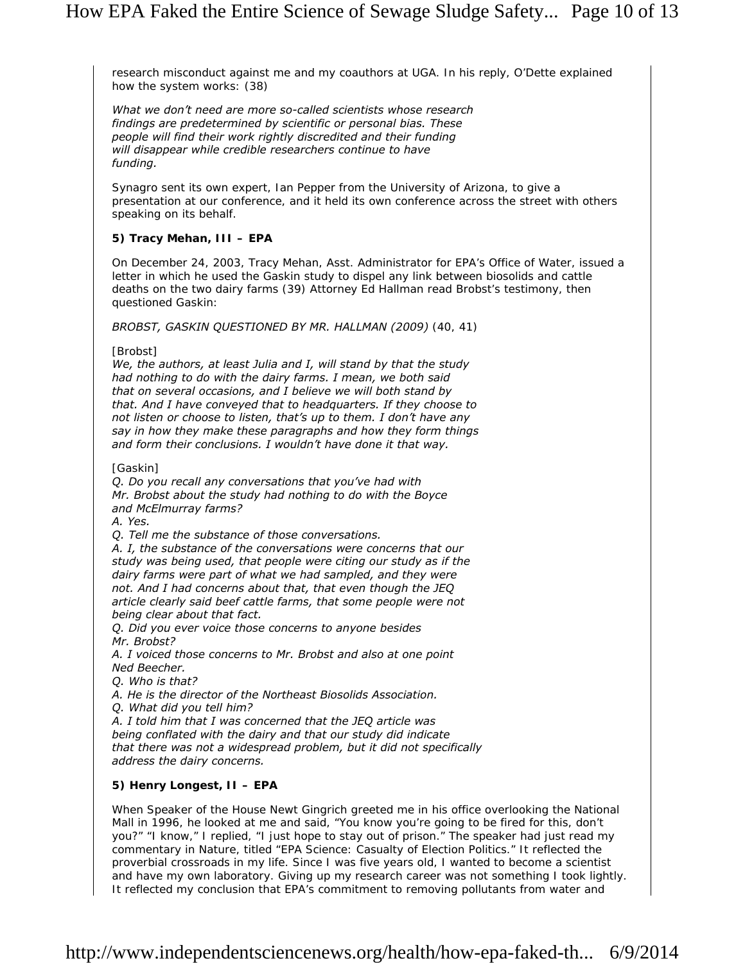research misconduct against me and my coauthors at UGA. In his reply, O'Dette explained how the system works: (38)

*What we don't need are more so-called scientists whose research findings are predetermined by scientific or personal bias. These people will find their work rightly discredited and their funding will disappear while credible researchers continue to have funding.*

Synagro sent its own expert, Ian Pepper from the University of Arizona, to give a presentation at our conference, and it held its own conference across the street with others speaking on its behalf.

#### **5) Tracy Mehan, III – EPA**

On December 24, 2003, Tracy Mehan, Asst. Administrator for EPA's Office of Water, issued a letter in which he used the Gaskin study to dispel any link between biosolids and cattle deaths on the two dairy farms (39) Attorney Ed Hallman read Brobst's testimony, then questioned Gaskin:

*BROBST, GASKIN QUESTIONED BY MR. HALLMAN (2009)* (40, 41)

#### [Brobst]

*We, the authors, at least Julia and I, will stand by that the study had nothing to do with the dairy farms. I mean, we both said that on several occasions, and I believe we will both stand by that. And I have conveyed that to headquarters. If they choose to not listen or choose to listen, that's up to them. I don't have any say in how they make these paragraphs and how they form things and form their conclusions. I wouldn't have done it that way.*

#### [Gaskin]

*Q. Do you recall any conversations that you've had with Mr. Brobst about the study had nothing to do with the Boyce and McElmurray farms?* 

*A. Yes.* 

*Q. Tell me the substance of those conversations.* 

*A. I, the substance of the conversations were concerns that our study was being used, that people were citing our study as if the dairy farms were part of what we had sampled, and they were not. And I had concerns about that, that even though the JEQ article clearly said beef cattle farms, that some people were not being clear about that fact.* 

*Q. Did you ever voice those concerns to anyone besides Mr. Brobst?* 

*A. I voiced those concerns to Mr. Brobst and also at one point Ned Beecher.* 

*Q. Who is that?* 

*A. He is the director of the Northeast Biosolids Association.* 

*Q. What did you tell him?* 

*A. I told him that I was concerned that the JEQ article was being conflated with the dairy and that our study did indicate that there was not a widespread problem, but it did not specifically address the dairy concerns.*

#### **5) Henry Longest, II – EPA**

When Speaker of the House Newt Gingrich greeted me in his office overlooking the National Mall in 1996, he looked at me and said, "You know you're going to be fired for this, don't you?" "I know," I replied, "I just hope to stay out of prison." The speaker had just read my commentary in Nature, titled "EPA Science: Casualty of Election Politics." It reflected the proverbial crossroads in my life. Since I was five years old, I wanted to become a scientist and have my own laboratory. Giving up my research career was not something I took lightly. It reflected my conclusion that EPA's commitment to removing pollutants from water and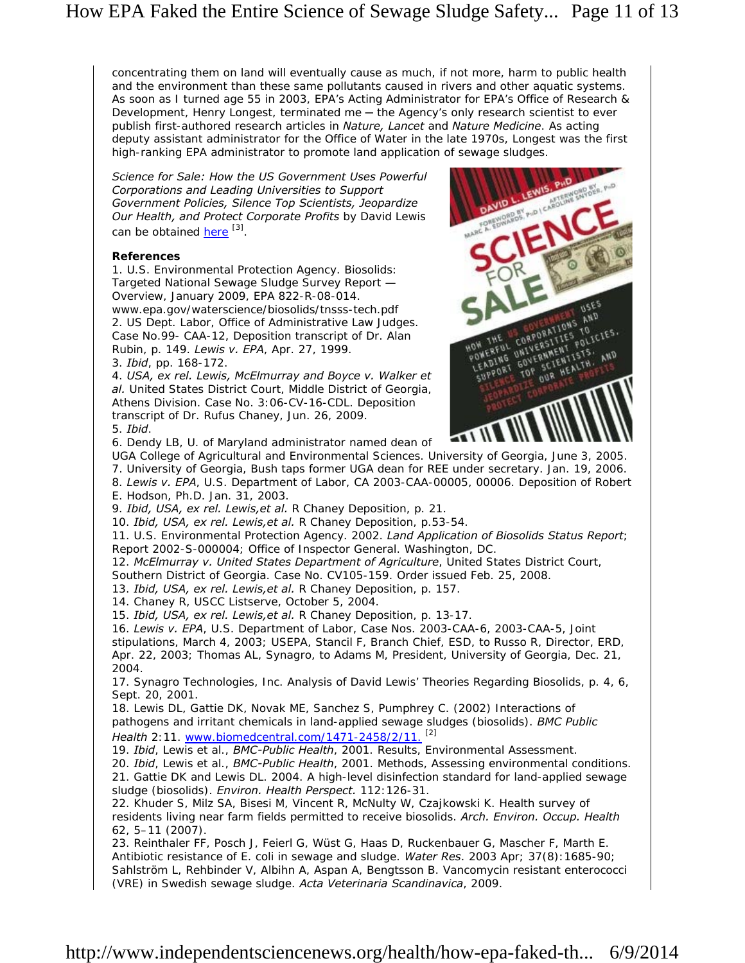concentrating them on land will eventually cause as much, if not more, harm to public health and the environment than these same pollutants caused in rivers and other aquatic systems. As soon as I turned age 55 in 2003, EPA's Acting Administrator for EPA's Office of Research & Development, Henry Longest, terminated me - the Agency's only research scientist to ever publish first-authored research articles in *Nature, Lancet* and *Nature Medicine*. As acting deputy assistant administrator for the Office of Water in the late 1970s, Longest was the first high-ranking EPA administrator to promote land application of sewage sludges.

*Science for Sale: How the US Government Uses Powerful Corporations and Leading Universities to Support Government Policies, Silence Top Scientists, Jeopardize Our Health, and Protect Corporate Profits* by David Lewis can be obtained here [3].

#### **References**

1. U.S. Environmental Protection Agency. Biosolids: Targeted National Sewage Sludge Survey Report — Overview, January 2009, EPA 822-R-08-014. www.epa.gov/waterscience/biosolids/tnsss-tech.pdf 2. US Dept. Labor, Office of Administrative Law Judges. Case No.99- CAA-12, Deposition transcript of Dr. Alan Rubin, p. 149. *Lewis v. EPA*, Apr. 27, 1999.

3. *Ibid*, pp. 168-172.

4. *USA, ex rel. Lewis, McElmurray and Boyce v. Walker et al.* United States District Court, Middle District of Georgia, Athens Division. Case No. 3:06-CV-16-CDL. Deposition transcript of Dr. Rufus Chaney, Jun. 26, 2009. 5. *Ibid*.



6. Dendy LB, U. of Maryland administrator named dean of UGA College of Agricultural and Environmental Sciences. University of Georgia, June 3, 2005.

7. University of Georgia, Bush taps former UGA dean for REE under secretary. Jan. 19, 2006. 8. *Lewis v. EPA*, U.S. Department of Labor, CA 2003-CAA-00005, 00006. Deposition of Robert E. Hodson, Ph.D. Jan. 31, 2003.

9. *Ibid, USA, ex rel. Lewis,et al.* R Chaney Deposition, p. 21.

10. *Ibid, USA, ex rel. Lewis,et al.* R Chaney Deposition, p.53-54.

11. U.S. Environmental Protection Agency. 2002. *Land Application of Biosolids Status Report*; Report 2002-S-000004; Office of Inspector General. Washington, DC.

12. *McElmurray v. United States Department of Agriculture*, United States District Court, Southern District of Georgia. Case No. CV105-159. Order issued Feb. 25, 2008.

13. *Ibid, USA, ex rel. Lewis,et al.* R Chaney Deposition, p. 157.

14. Chaney R, USCC Listserve, October 5, 2004.

15. *Ibid, USA, ex rel. Lewis,et al.* R Chaney Deposition, p. 13-17.

16. *Lewis v. EPA*, U.S. Department of Labor, Case Nos. 2003-CAA-6, 2003-CAA-5, Joint stipulations, March 4, 2003; USEPA, Stancil F, Branch Chief, ESD, to Russo R, Director, ERD, Apr. 22, 2003; Thomas AL, Synagro, to Adams M, President, University of Georgia, Dec. 21, 2004.

17. Synagro Technologies, Inc. Analysis of David Lewis' Theories Regarding Biosolids, p. 4, 6, Sept. 20, 2001.

18. Lewis DL, Gattie DK, Novak ME, Sanchez S, Pumphrey C. (2002) Interactions of pathogens and irritant chemicals in land-applied sewage sludges (biosolids). *BMC Public Health* 2:11. www.biomedcentral.com/1471-2458/2/11. [2]

19. *Ibid*, Lewis et al., *BMC-Public Health*, 2001. Results, Environmental Assessment.

20. *Ibid*, Lewis et al., *BMC-Public Health*, 2001. Methods, Assessing environmental conditions. 21. Gattie DK and Lewis DL. 2004. A high-level disinfection standard for land-applied sewage sludge (biosolids). *Environ. Health Perspect.* 112:126-31.

22. Khuder S, Milz SA, Bisesi M, Vincent R, McNulty W, Czajkowski K. Health survey of residents living near farm fields permitted to receive biosolids. *Arch. Environ. Occup. Health* 62, 5–11 (2007).

23. Reinthaler FF, Posch J, Feierl G, Wüst G, Haas D, Ruckenbauer G, Mascher F, Marth E. Antibiotic resistance of E. coli in sewage and sludge. *Water Res*. 2003 Apr; 37(8):1685-90; Sahlström L, Rehbinder V, Albihn A, Aspan A, Bengtsson B. Vancomycin resistant enterococci (VRE) in Swedish sewage sludge. *Acta Veterinaria Scandinavica*, 2009.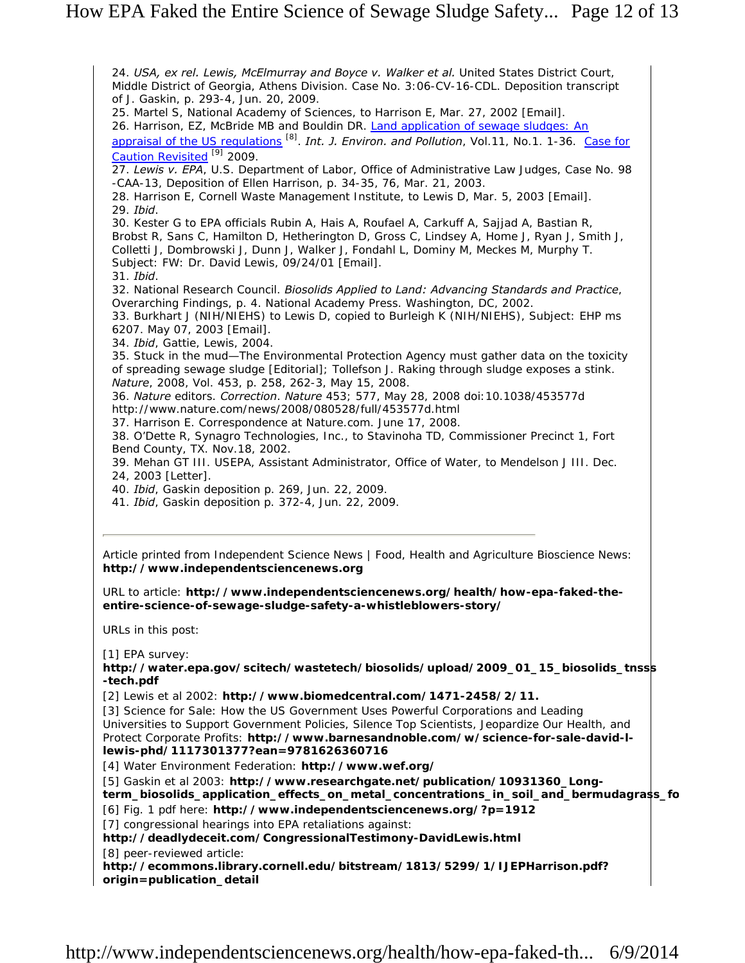24. *USA, ex rel. Lewis, McElmurray and Boyce v. Walker et al.* United States District Court, Middle District of Georgia, Athens Division. Case No. 3:06-CV-16-CDL. Deposition transcript of J. Gaskin, p. 293-4, Jun. 20, 2009. 25. Martel S, National Academy of Sciences, to Harrison E, Mar. 27, 2002 [Email]. 26. Harrison, EZ, McBride MB and Bouldin DR. Land application of sewage sludges: An appraisal of the US regulations [8]. *Int. J. Environ. and Pollution*, Vol.11, No.1. 1-36. Case for Caution Revisited<sup>[9]</sup> 2009. 27. *Lewis v. EPA*, U.S. Department of Labor, Office of Administrative Law Judges, Case No. 98 -CAA-13, Deposition of Ellen Harrison, p. 34-35, 76, Mar. 21, 2003. 28. Harrison E, Cornell Waste Management Institute, to Lewis D, Mar. 5, 2003 [Email]. 29. *Ibid*. 30. Kester G to EPA officials Rubin A, Hais A, Roufael A, Carkuff A, Sajjad A, Bastian R, Brobst R, Sans C, Hamilton D, Hetherington D, Gross C, Lindsey A, Home J, Ryan J, Smith J, Colletti J, Dombrowski J, Dunn J, Walker J, Fondahl L, Dominy M, Meckes M, Murphy T. Subject: FW: Dr. David Lewis, 09/24/01 [Email]. 31. *Ibid*. 32. National Research Council. *Biosolids Applied to Land: Advancing Standards and Practice*, Overarching Findings, p. 4. National Academy Press. Washington, DC, 2002. 33. Burkhart J (NIH/NIEHS) to Lewis D, copied to Burleigh K (NIH/NIEHS), Subject: EHP ms 6207. May 07, 2003 [Email]. 34. *Ibid*, Gattie, Lewis, 2004. 35. Stuck in the mud—The Environmental Protection Agency must gather data on the toxicity of spreading sewage sludge [Editorial]; Tollefson J. Raking through sludge exposes a stink. *Nature*, 2008, Vol. 453, p. 258, 262-3, May 15, 2008. 36. *Nature* editors. *Correction*. *Nature* 453; 577, May 28, 2008 doi:10.1038/453577d http://www.nature.com/news/2008/080528/full/453577d.html 37. Harrison E. Correspondence at Nature.com. June 17, 2008. 38. O'Dette R, Synagro Technologies, Inc., to Stavinoha TD, Commissioner Precinct 1, Fort Bend County, TX. Nov.18, 2002. 39. Mehan GT III. USEPA, Assistant Administrator, Office of Water, to Mendelson J III. Dec. 24, 2003 [Letter]. 40. *Ibid*, Gaskin deposition p. 269, Jun. 22, 2009. 41. *Ibid*, Gaskin deposition p. 372-4, Jun. 22, 2009. Article printed from Independent Science News | Food, Health and Agriculture Bioscience News: **http://www.independentsciencenews.org** URL to article: **http://www.independentsciencenews.org/health/how-epa-faked-theentire-science-of-sewage-sludge-safety-a-whistleblowers-story/** URLs in this post: [1] EPA survey: **http://water.epa.gov/scitech/wastetech/biosolids/upload/2009\_01\_15\_biosolids\_tnsss -tech.pdf** [2] Lewis et al 2002: **http://www.biomedcentral.com/1471-2458/2/11.** [3] Science for Sale: How the US Government Uses Powerful Corporations and Leading Universities to Support Government Policies, Silence Top Scientists, Jeopardize Our Health, and Protect Corporate Profits: **http://www.barnesandnoble.com/w/science-for-sale-david-llewis-phd/1117301377?ean=9781626360716** [4] Water Environment Federation: **http://www.wef.org/** [5] Gaskin et al 2003: **http://www.researchgate.net/publication/10931360\_Longterm\_biosolids\_application\_effects\_on\_metal\_concentrations\_in\_soil\_and\_bermudagrass\_fo**

[6] Fig. 1 pdf here: **http://www.independentsciencenews.org/?p=1912**

[7] congressional hearings into EPA retaliations against:

**http://deadlydeceit.com/CongressionalTestimony-DavidLewis.html**

[8] peer-reviewed article:

**http://ecommons.library.cornell.edu/bitstream/1813/5299/1/IJEPHarrison.pdf? origin=publication\_detail**